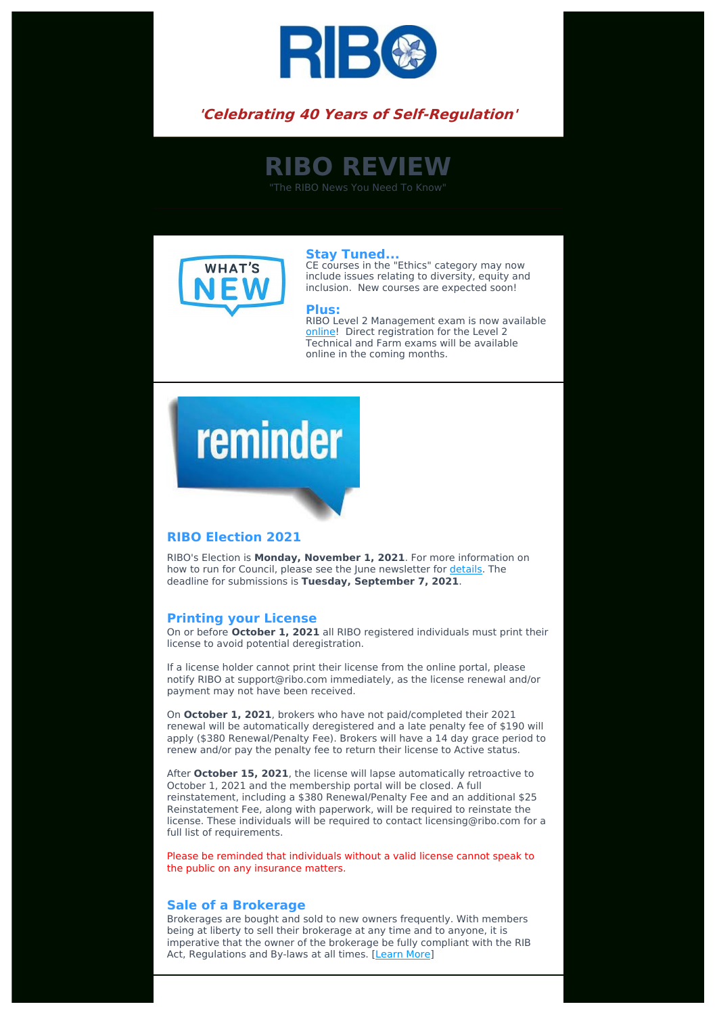

### **'Celebrating 40 Years of Self-Regulation'**

## **RIBO REVIEW**

"The RIBO News You Need To Know"



**Stay Tuned...** CE courses in the "Ethics" category may now include issues relating to diversity, equity and inclusion. New courses are expected soon!

#### **Plus:**

RIBO Level 2 Management exam is now available [online](https://www.insuranceinstitute.ca/en/institutes-and-chapters/Ontario/Licensing-in-Ontario/Broker-Licence/Ontario-Broker-Exams)! Direct registration for the Level 2 Technical and Farm exams will be available online in the coming months.

# reminder

#### **RIBO Election 2021**

RIBO's Election is **Monday, November 1, 2021**. For more information on how to run for Council, please see the June newsletter for [details](https://www.ribo.com/election-of-council-members/?_se=bGlzZUByaWJvLmNvbQ%3D%3D). The deadline for submissions is **Tuesday, September 7, 2021**.

#### **Printing your License**

On or before **October 1, 2021** all RIBO registered individuals must print their license to avoid potential deregistration.

If a license holder cannot print their license from the online portal, please notify RIBO at support@ribo.com immediately, as the license renewal and/or payment may not have been received.

On **October 1, 2021**, brokers who have not paid/completed their 2021 renewal will be automatically deregistered and a late penalty fee of \$190 will apply (\$380 Renewal/Penalty Fee). Brokers will have a 14 day grace period to renew and/or pay the penalty fee to return their license to Active status.

After **October 15, 2021**, the license will lapse automatically retroactive to October 1, 2021 and the membership portal will be closed. A full reinstatement, including a \$380 Renewal/Penalty Fee and an additional \$25 Reinstatement Fee, along with paperwork, will be required to reinstate the license. These individuals will be required to contact licensing@ribo.com for a full list of requirements.

Please be reminded that individuals without a valid license cannot speak to the public on any insurance matters.

#### **Sale of a Brokerage**

Brokerages are bought and sold to new owners frequently. With members being at liberty to sell their brokerage at any time and to anyone, it is imperative that the owner of the brokerage be fully compliant with the RIB Act, Regulations and By-laws at all times. [[Learn](https://www.ribo.com/sale-of-brokerage-and-the-regulations/?_se=bGlzZUByaWJvLmNvbQ%3D%3D) More]